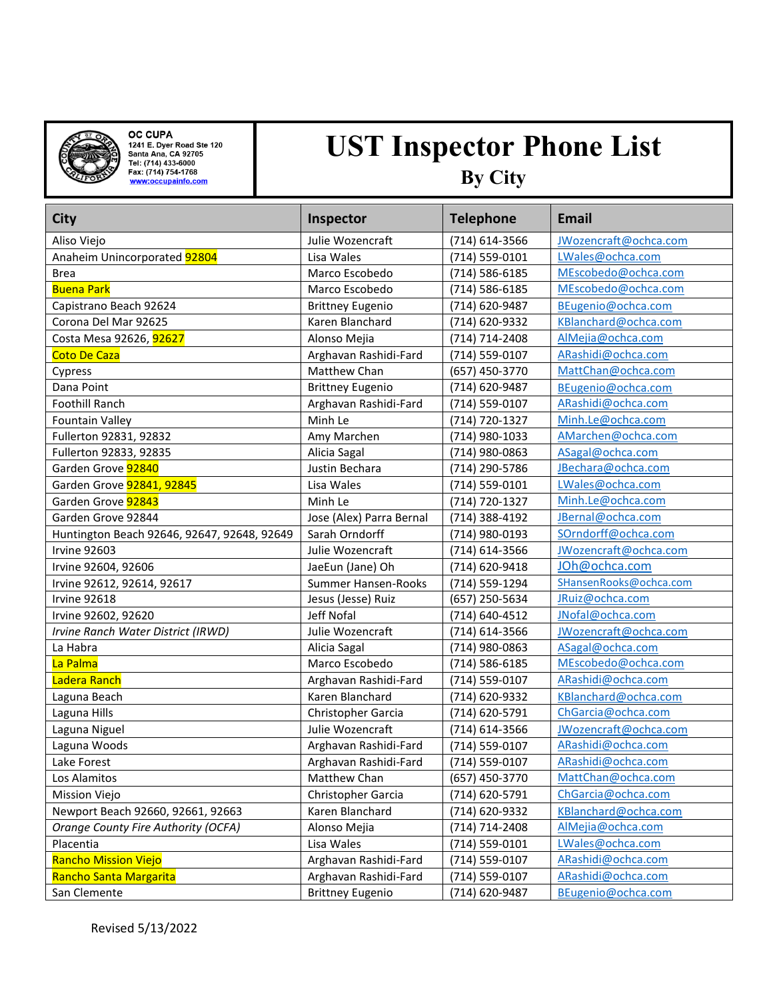

**OC CUPA**<br>1241 E. Dyer Road Ste 120<br>Santa Ana, CA 92705<br>Tel: (714) 433-6000<br>Fax: (714) 754-1768<br><u>www:occupainfo.com</u>

## **UST Inspector Phone List By City**

| <b>City</b>                                 | Inspector                | <b>Telephone</b>   | <b>Email</b>           |
|---------------------------------------------|--------------------------|--------------------|------------------------|
| Aliso Viejo                                 | Julie Wozencraft         | (714) 614-3566     | JWozencraft@ochca.com  |
| Anaheim Unincorporated 92804                | Lisa Wales               | (714) 559-0101     | LWales@ochca.com       |
| <b>Brea</b>                                 | Marco Escobedo           | (714) 586-6185     | MEscobedo@ochca.com    |
| <b>Buena Park</b>                           | Marco Escobedo           | (714) 586-6185     | MEscobedo@ochca.com    |
| Capistrano Beach 92624                      | <b>Brittney Eugenio</b>  | (714) 620-9487     | BEugenio@ochca.com     |
| Corona Del Mar 92625                        | Karen Blanchard          | (714) 620-9332     | KBlanchard@ochca.com   |
| Costa Mesa 92626, 92627                     | Alonso Mejia             | (714) 714-2408     | AlMejia@ochca.com      |
| <b>Coto De Caza</b>                         | Arghavan Rashidi-Fard    | (714) 559-0107     | ARashidi@ochca.com     |
| Cypress                                     | Matthew Chan             | (657) 450-3770     | MattChan@ochca.com     |
| Dana Point                                  | <b>Brittney Eugenio</b>  | (714) 620-9487     | BEugenio@ochca.com     |
| Foothill Ranch                              | Arghavan Rashidi-Fard    | (714) 559-0107     | ARashidi@ochca.com     |
| <b>Fountain Valley</b>                      | Minh Le                  | (714) 720-1327     | Minh.Le@ochca.com      |
| Fullerton 92831, 92832                      | Amy Marchen              | (714) 980-1033     | AMarchen@ochca.com     |
| Fullerton 92833, 92835                      | Alicia Sagal             | (714) 980-0863     | ASagal@ochca.com       |
| Garden Grove 92840                          | Justin Bechara           | (714) 290-5786     | JBechara@ochca.com     |
| Garden Grove <b>92841, 92845</b>            | Lisa Wales               | (714) 559-0101     | LWales@ochca.com       |
| Garden Grove 92843                          | Minh Le                  | (714) 720-1327     | Minh.Le@ochca.com      |
| Garden Grove 92844                          | Jose (Alex) Parra Bernal | (714) 388-4192     | JBernal@ochca.com      |
| Huntington Beach 92646, 92647, 92648, 92649 | Sarah Orndorff           | (714) 980-0193     | SOrndorff@ochca.com    |
| <b>Irvine 92603</b>                         | Julie Wozencraft         | (714) 614-3566     | JWozencraft@ochca.com  |
| Irvine 92604, 92606                         | JaeEun (Jane) Oh         | (714) 620-9418     | JOh@ochca.com          |
| Irvine 92612, 92614, 92617                  | Summer Hansen-Rooks      | (714) 559-1294     | SHansenRooks@ochca.com |
| Irvine 92618                                | Jesus (Jesse) Ruiz       | (657) 250-5634     | JRuiz@ochca.com        |
| Irvine 92602, 92620                         | Jeff Nofal               | (714) 640-4512     | JNofal@ochca.com       |
| Irvine Ranch Water District (IRWD)          | Julie Wozencraft         | (714) 614-3566     | JWozencraft@ochca.com  |
| La Habra                                    | Alicia Sagal             | (714) 980-0863     | ASagal@ochca.com       |
| La Palma                                    | Marco Escobedo           | (714) 586-6185     | MEscobedo@ochca.com    |
| Ladera Ranch                                | Arghavan Rashidi-Fard    | (714) 559-0107     | ARashidi@ochca.com     |
| Laguna Beach                                | Karen Blanchard          | (714) 620-9332     | KBlanchard@ochca.com   |
| Laguna Hills                                | Christopher Garcia       | (714) 620-5791     | ChGarcia@ochca.com     |
| Laguna Niguel                               | Julie Wozencraft         | (714) 614-3566     | JWozencraft@ochca.com  |
| Laguna Woods                                | Arghavan Rashidi-Fard    | (714) 559-0107     | ARashidi@ochca.com     |
| Lake Forest                                 | Arghavan Rashidi-Fard    | (714) 559-0107     | ARashidi@ochca.com     |
| Los Alamitos                                | Matthew Chan             | (657) 450-3770     | MattChan@ochca.com     |
| Mission Viejo                               | Christopher Garcia       | (714) 620-5791     | ChGarcia@ochca.com     |
| Newport Beach 92660, 92661, 92663           | Karen Blanchard          | (714) 620-9332     | KBlanchard@ochca.com   |
| Orange County Fire Authority (OCFA)         | Alonso Mejia             | (714) 714-2408     | AlMejia@ochca.com      |
| Placentia                                   | Lisa Wales               | $(714) 559 - 0101$ | LWales@ochca.com       |
| <b>Rancho Mission Viejo</b>                 | Arghavan Rashidi-Fard    | (714) 559-0107     | ARashidi@ochca.com     |
| Rancho Santa Margarita                      | Arghavan Rashidi-Fard    | (714) 559-0107     | ARashidi@ochca.com     |
| San Clemente                                | <b>Brittney Eugenio</b>  | (714) 620-9487     | BEugenio@ochca.com     |